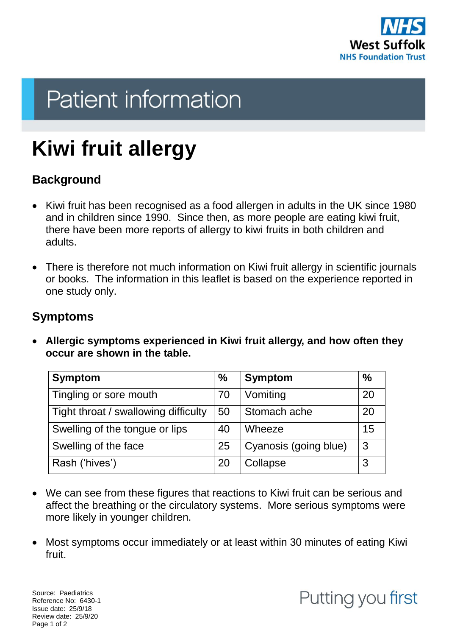

# **Patient information**

# **Kiwi fruit allergy**

## **Background**

- Kiwi fruit has been recognised as a food allergen in adults in the UK since 1980 and in children since 1990. Since then, as more people are eating kiwi fruit, there have been more reports of allergy to kiwi fruits in both children and adults.
- There is therefore not much information on Kiwi fruit allergy in scientific journals or books. The information in this leaflet is based on the experience reported in one study only.

#### **Symptoms**

 **Allergic symptoms experienced in Kiwi fruit allergy, and how often they occur are shown in the table.**

| <b>Symptom</b>                       | $\%$ | <b>Symptom</b>        | $\%$ |
|--------------------------------------|------|-----------------------|------|
| Tingling or sore mouth               | 70   | Vomiting              | 20   |
| Tight throat / swallowing difficulty | 50   | Stomach ache          | 20   |
| Swelling of the tongue or lips       | 40   | Wheeze                | 15   |
| Swelling of the face                 | 25   | Cyanosis (going blue) | 3    |
| Rash ('hives')                       | 20   | Collapse              | 3    |

- We can see from these figures that reactions to Kiwi fruit can be serious and affect the breathing or the circulatory systems. More serious symptoms were more likely in younger children.
- Most symptoms occur immediately or at least within 30 minutes of eating Kiwi fruit.

Source: Paediatrics Reference No: 6430-1 Issue date: 25/9/18 Review date: 25/9/20 Page 1 of 2